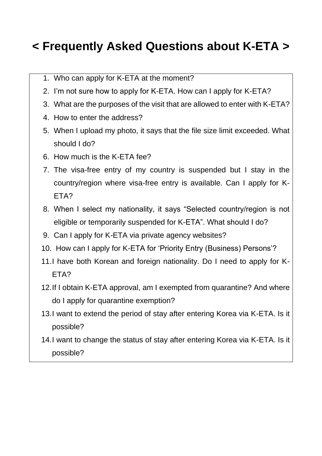# **< Frequently Asked Questions about K-ETA >**

- 1. Who can apply for K-ETA at the moment?
- 2. I'm not sure how to apply for K-ETA. How can I apply for K-ETA?
- 3. What are the purposes of the visit that are allowed to enter with K-ETA?
- 4. How to enter the address?
- 5. When I upload my photo, it says that the file size limit exceeded. What should I do?
- 6. How much is the K-ETA fee?
- 7. The visa-free entry of my country is suspended but I stay in the country/region where visa-free entry is available. Can I apply for K-ETA?
- 8. When I select my nationality, it says "Selected country/region is not eligible or temporarily suspended for K-ETA". What should I do?
- 9. Can I apply for K-ETA via private agency websites?
- 10. How can I apply for K-ETA for 'Priority Entry (Business) Persons'?
- 11.I have both Korean and foreign nationality. Do I need to apply for K-ETA?
- 12.If I obtain K-ETA approval, am I exempted from quarantine? And where do I apply for quarantine exemption?
- 13.I want to extend the period of stay after entering Korea via K-ETA. Is it possible?
- 14.I want to change the status of stay after entering Korea via K-ETA. Is it possible?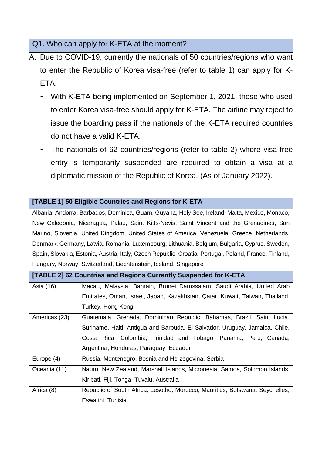Q1. Who can apply for K-ETA at the moment?

- A. Due to COVID-19, currently the nationals of 50 countries/regions who want to enter the Republic of Korea visa-free (refer to table 1) can apply for K-**FTA** 
	- With K-ETA being implemented on September 1, 2021, those who used to enter Korea visa-free should apply for K-ETA. The airline may reject to issue the boarding pass if the nationals of the K-ETA required countries do not have a valid K-ETA.
	- The nationals of 62 countries/regions (refer to table 2) where visa-free entry is temporarily suspended are required to obtain a visa at a diplomatic mission of the Republic of Korea. (As of January 2022).

|                                                                                                       | Albania, Andorra, Barbados, Dominica, Guam, Guyana, Holy See, Ireland, Malta, Mexico, Monaco, |  |
|-------------------------------------------------------------------------------------------------------|-----------------------------------------------------------------------------------------------|--|
| New Caledonia, Nicaragua, Palau, Saint Kitts-Nevis, Saint Vincent and the Grenadines, San             |                                                                                               |  |
| Marino, Slovenia, United Kingdom, United States of America, Venezuela, Greece, Netherlands,           |                                                                                               |  |
| Denmark, Germany, Latvia, Romania, Luxembourg, Lithuania, Belgium, Bulgaria, Cyprus, Sweden,          |                                                                                               |  |
| Spain, Slovakia, Estonia, Austria, Italy, Czech Republic, Croatia, Portugal, Poland, France, Finland, |                                                                                               |  |
| Hungary, Norway, Switzerland, Liechtenstein, Iceland, Singapore                                       |                                                                                               |  |
| [TABLE 2] 62 Countries and Regions Currently Suspended for K-ETA                                      |                                                                                               |  |
| Asia (16)                                                                                             | Macau, Malaysia, Bahrain, Brunei Darussalam, Saudi Arabia, United Arab                        |  |
|                                                                                                       | Emirates, Oman, Israel, Japan, Kazakhstan, Qatar, Kuwait, Taiwan, Thailand,                   |  |
|                                                                                                       | Turkey, Hong Kong                                                                             |  |
| Americas (23)                                                                                         | Guatemala, Grenada, Dominican Republic, Bahamas, Brazil, Saint Lucia,                         |  |
|                                                                                                       | Suriname, Haiti, Antigua and Barbuda, El Salvador, Uruguay, Jamaica, Chile,                   |  |
|                                                                                                       | Costa Rica, Colombia, Trinidad and Tobago, Panama, Peru, Canada,                              |  |
|                                                                                                       | Argentina, Honduras, Paraguay, Ecuador                                                        |  |
| Europe (4)                                                                                            | Russia, Montenegro, Bosnia and Herzegovina, Serbia                                            |  |
| Oceania (11)                                                                                          | Nauru, New Zealand, Marshall Islands, Micronesia, Samoa, Solomon Islands,                     |  |
|                                                                                                       | Kiribati, Fiji, Tonga, Tuvalu, Australia                                                      |  |
| Africa (8)                                                                                            | Republic of South Africa, Lesotho, Morocco, Mauritius, Botswana, Seychelles,                  |  |
|                                                                                                       | Eswatini, Tunisia                                                                             |  |
|                                                                                                       |                                                                                               |  |

#### **[TABLE 1] 50 Eligible Countries and Regions for K-ETA**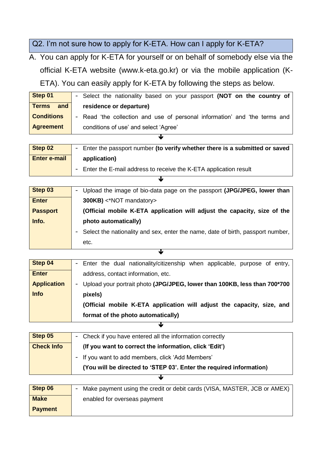Q2. I'm not sure how to apply for K-ETA. How can I apply for K-ETA?

A. You can apply for K-ETA for yourself or on behalf of somebody else via the official K-ETA website (www.k-eta.go.kr) or via the mobile application (K-ETA). You can easily apply for K-ETA by following the steps as below.

**Step 01** - Select the nationality based on your passport **(NOT on the country of residence or departure)** - Read 'the collection and use of personal information' and 'the terms and conditions of use' and select 'Agree' **Terms and Conditions Agreement**  $\overline{\mathbf{r}}$ 

| Step 02             | - Enter the passport number (to verify whether there is a submitted or saved |  |
|---------------------|------------------------------------------------------------------------------|--|
| <b>Enter e-mail</b> | application)                                                                 |  |
|                     | - Enter the E-mail address to receive the K-ETA application result           |  |
|                     |                                                                              |  |

| Step 03         | Upload the image of bio-data page on the passport (JPG/JPEG, lower than<br>$\overline{\phantom{a}}$ |  |
|-----------------|-----------------------------------------------------------------------------------------------------|--|
| <b>Enter</b>    | 300KB) <*NOT mandatory>                                                                             |  |
| <b>Passport</b> | (Official mobile K-ETA application will adjust the capacity, size of the                            |  |
| Info.           | photo automatically)                                                                                |  |
|                 | Select the nationality and sex, enter the name, date of birth, passport number,<br>-                |  |
|                 | etc.                                                                                                |  |
|                 |                                                                                                     |  |

| - Enter the dual nationality/citizenship when applicable, purpose of entry, |
|-----------------------------------------------------------------------------|
| address, contact information, etc.                                          |
| - Upload your portrait photo (JPG/JPEG, lower than 100KB, less than 700*700 |
| pixels)                                                                     |
| (Official mobile K-ETA application will adjust the capacity, size, and      |
| format of the photo automatically)                                          |
|                                                                             |

| Step 05           | - Check if you have entered all the information correctly           |  |
|-------------------|---------------------------------------------------------------------|--|
| <b>Check Info</b> | (If you want to correct the information, click 'Edit')              |  |
|                   | - If you want to add members, click 'Add Members'                   |  |
|                   | (You will be directed to 'STEP 03'. Enter the required information) |  |
|                   |                                                                     |  |

| Step 06        | Make payment using the credit or debit cards (VISA, MASTER, JCB or AMEX)<br>$\overline{\phantom{a}}$ |
|----------------|------------------------------------------------------------------------------------------------------|
| <b>Make</b>    | enabled for overseas payment                                                                         |
| <b>Payment</b> |                                                                                                      |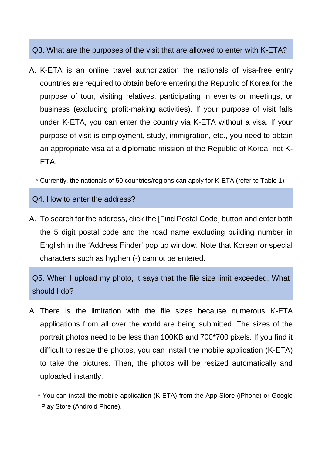## Q3. What are the purposes of the visit that are allowed to enter with K-ETA?

- A. K-ETA is an online travel authorization the nationals of visa-free entry countries are required to obtain before entering the Republic of Korea for the purpose of tour, visiting relatives, participating in events or meetings, or business (excluding profit-making activities). If your purpose of visit falls under K-ETA, you can enter the country via K-ETA without a visa. If your purpose of visit is employment, study, immigration, etc., you need to obtain an appropriate visa at a diplomatic mission of the Republic of Korea, not K-ETA.
	- \* Currently, the nationals of 50 countries/regions can apply for K-ETA (refer to Table 1)

#### Q4. How to enter the address?

A. To search for the address, click the [Find Postal Code] button and enter both the 5 digit postal code and the road name excluding building number in English in the 'Address Finder' pop up window. Note that Korean or special characters such as hyphen (-) cannot be entered.

Q5. When I upload my photo, it says that the file size limit exceeded. What should I do?

- A. There is the limitation with the file sizes because numerous K-ETA applications from all over the world are being submitted. The sizes of the portrait photos need to be less than 100KB and 700\*700 pixels. If you find it difficult to resize the photos, you can install the mobile application (K-ETA) to take the pictures. Then, the photos will be resized automatically and uploaded instantly.
	- \* You can install the mobile application (K-ETA) from the App Store (iPhone) or Google Play Store (Android Phone).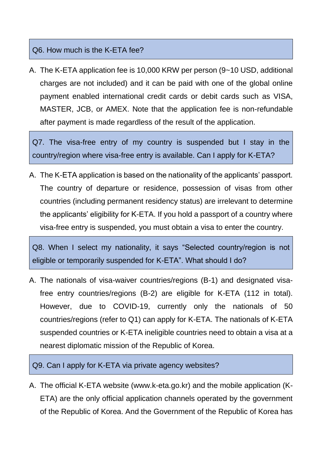### Q6. How much is the K-ETA fee?

A. The K-ETA application fee is 10,000 KRW per person (9~10 USD, additional charges are not included) and it can be paid with one of the global online payment enabled international credit cards or debit cards such as VISA, MASTER, JCB, or AMEX. Note that the application fee is non-refundable after payment is made regardless of the result of the application.

Q7. The visa-free entry of my country is suspended but I stay in the country/region where visa-free entry is available. Can I apply for K-ETA?

A. The K-ETA application is based on the nationality of the applicants' passport. The country of departure or residence, possession of visas from other countries (including permanent residency status) are irrelevant to determine the applicants' eligibility for K-ETA. If you hold a passport of a country where visa-free entry is suspended, you must obtain a visa to enter the country.

Q8. When I select my nationality, it says "Selected country/region is not eligible or temporarily suspended for K-ETA". What should I do?

A. The nationals of visa-waiver countries/regions (B-1) and designated visafree entry countries/regions (B-2) are eligible for K-ETA (112 in total). However, due to COVID-19, currently only the nationals of 50 countries/regions (refer to Q1) can apply for K-ETA. The nationals of K-ETA suspended countries or K-ETA ineligible countries need to obtain a visa at a nearest diplomatic mission of the Republic of Korea.

Q9. Can I apply for K-ETA via private agency websites?

A. The official K-ETA website (www.k-eta.go.kr) and the mobile application (K-ETA) are the only official application channels operated by the government of the Republic of Korea. And the Government of the Republic of Korea has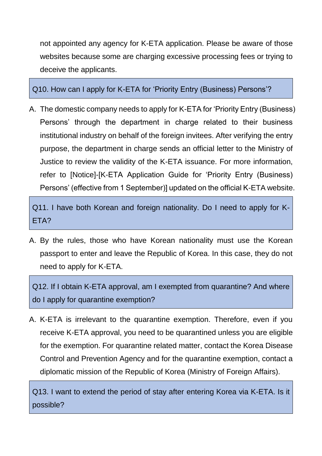not appointed any agency for K-ETA application. Please be aware of those websites because some are charging excessive processing fees or trying to deceive the applicants.

Q10. How can I apply for K-ETA for 'Priority Entry (Business) Persons'?

A. The domestic company needs to apply for K-ETA for 'Priority Entry (Business) Persons' through the department in charge related to their business institutional industry on behalf of the foreign invitees. After verifying the entry purpose, the department in charge sends an official letter to the Ministry of Justice to review the validity of the K-ETA issuance. For more information, refer to [Notice]-[K-ETA Application Guide for 'Priority Entry (Business) Persons' (effective from 1 September)] updated on the official K-ETA website.

Q11. I have both Korean and foreign nationality. Do I need to apply for K-ETA?

A. By the rules, those who have Korean nationality must use the Korean passport to enter and leave the Republic of Korea. In this case, they do not need to apply for K-ETA.

Q12. If I obtain K-ETA approval, am I exempted from quarantine? And where do I apply for quarantine exemption?

A. K-ETA is irrelevant to the quarantine exemption. Therefore, even if you receive K-ETA approval, you need to be quarantined unless you are eligible for the exemption. For quarantine related matter, contact the Korea Disease Control and Prevention Agency and for the quarantine exemption, contact a diplomatic mission of the Republic of Korea (Ministry of Foreign Affairs).

Q13. I want to extend the period of stay after entering Korea via K-ETA. Is it possible?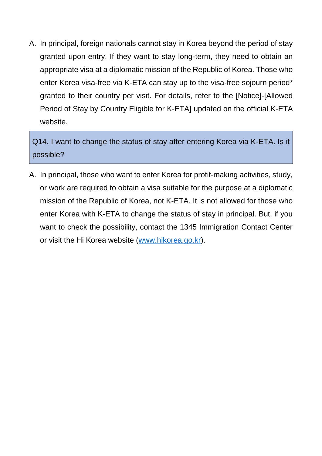A. In principal, foreign nationals cannot stay in Korea beyond the period of stay granted upon entry. If they want to stay long-term, they need to obtain an appropriate visa at a diplomatic mission of the Republic of Korea. Those who enter Korea visa-free via K-ETA can stay up to the visa-free sojourn period\* granted to their country per visit. For details, refer to the [Notice]-[Allowed Period of Stay by Country Eligible for K-ETA] updated on the official K-ETA website.

Q14. I want to change the status of stay after entering Korea via K-ETA. Is it possible?

A. In principal, those who want to enter Korea for profit-making activities, study, or work are required to obtain a visa suitable for the purpose at a diplomatic mission of the Republic of Korea, not K-ETA. It is not allowed for those who enter Korea with K-ETA to change the status of stay in principal. But, if you want to check the possibility, contact the 1345 Immigration Contact Center or visit the Hi Korea website [\(www.hikorea.go.kr\)](http://www.hikorea.go.kr/).